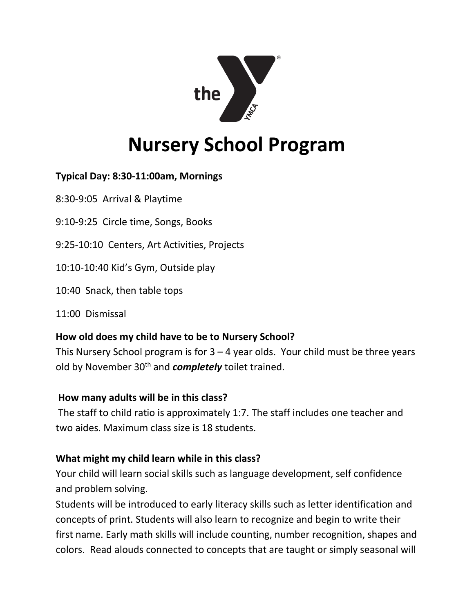

# **Nursery School Program**

## **Typical Day: 8:30-11:00am, Mornings**

8:30-9:05 Arrival & Playtime

9:10-9:25 Circle time, Songs, Books

9:25-10:10 Centers, Art Activities, Projects

10:10-10:40 Kid's Gym, Outside play

10:40 Snack, then table tops

11:00 Dismissal

#### **How old does my child have to be to Nursery School?**

This Nursery School program is for  $3 - 4$  year olds. Your child must be three years old by November 30<sup>th</sup> and *completely* toilet trained.

#### **How many adults will be in this class?**

The staff to child ratio is approximately 1:7. The staff includes one teacher and two aides. Maximum class size is 18 students.

#### **What might my child learn while in this class?**

Your child will learn social skills such as language development, self confidence and problem solving.

Students will be introduced to early literacy skills such as letter identification and concepts of print. Students will also learn to recognize and begin to write their first name. Early math skills will include counting, number recognition, shapes and colors. Read alouds connected to concepts that are taught or simply seasonal will